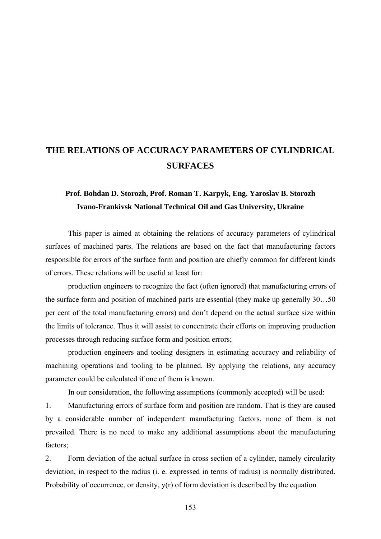## **THE RELATIONS OF ACCURACY PARAMETERS OF CYLINDRICAL SURFACES**

## **Prof. Bohdan D. Storozh, Prof. Roman T. Karpyk, Eng. Yaroslav B. Storozh Ivano-Frankivsk National Technical Oil and Gas University, Ukraine**

This paper is aimed at obtaining the relations of accuracy parameters of cylindrical surfaces of machined parts. The relations are based on the fact that manufacturing factors responsible for errors of the surface form and position are chiefly common for different kinds of errors. These relations will be useful at least for:

production engineers to recognize the fact (often ignored) that manufacturing errors of the surface form and position of machined parts are essential (they make up generally 30…50 per cent of the total manufacturing errors) and don't depend on the actual surface size within the limits of tolerance. Thus it will assist to concentrate their efforts on improving production processes through reducing surface form and position errors;

production engineers and tooling designers in estimating accuracy and reliability of machining operations and tooling to be planned. By applying the relations, any accuracy parameter could be calculated if one of them is known.

In our consideration, the following assumptions (commonly accepted) will be used:

1. Manufacturing errors of surface form and position are random. That is they are caused by a considerable number of independent manufacturing factors, none of them is not prevailed. There is no need to make any additional assumptions about the manufacturing factors;

2. Form deviation of the actual surface in cross section of a cylinder, namely circularity deviation, in respect to the radius (i. e. expressed in terms of radius) is normally distributed. Probability of occurrence, or density,  $y(r)$  of form deviation is described by the equation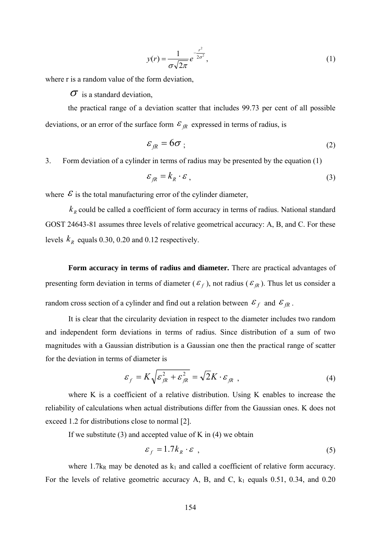$$
y(r) = \frac{1}{\sigma\sqrt{2\pi}}e^{-\frac{r^2}{2\sigma^2}},
$$
\n(1)

where r is a random value of the form deviation,

 $\sigma$  is a standard deviation.

the practical range of a deviation scatter that includes 99.73 per cent of all possible deviations, or an error of the surface form  $\mathcal{E}_{fR}$  expressed in terms of radius, is

$$
\varepsilon_{fR} = 6\sigma \tag{2}
$$

3. Form deviation of a cylinder in terms of radius may be presented by the equation (1)

$$
\varepsilon_{\text{fR}} = k_{\text{R}} \cdot \varepsilon \tag{3}
$$

where  $\mathcal E$  is the total manufacturing error of the cylinder diameter,

 $k_R$  could be called a coefficient of form accuracy in terms of radius. National standard GOST 24643-81 assumes three levels of relative geometrical accuracy: A, B, and C. For these levels  $k_R$  equals 0.30, 0.20 and 0.12 respectively.

**Form accuracy in terms of radius and diameter.** There are practical advantages of presenting form deviation in terms of diameter ( $\epsilon_f$ ), not radius ( $\epsilon_R$ ). Thus let us consider a random cross section of a cylinder and find out a relation between  $\mathcal{E}_f$  and  $\mathcal{E}_{fR}$ .

It is clear that the circularity deviation in respect to the diameter includes two random and independent form deviations in terms of radius. Since distribution of a sum of two magnitudes with a Gaussian distribution is a Gaussian one then the practical range of scatter for the deviation in terms of diameter is

$$
\varepsilon_f = K \sqrt{\varepsilon_{fR}^2 + \varepsilon_{fR}^2} = \sqrt{2} K \cdot \varepsilon_{fR} , \qquad (4)
$$

where K is a coefficient of a relative distribution. Using K enables to increase the reliability of calculations when actual distributions differ from the Gaussian ones. K does not exceed 1.2 for distributions close to normal [2].

If we substitute  $(3)$  and accepted value of K in  $(4)$  we obtain

$$
\varepsilon_f = 1.7k_R \cdot \varepsilon \tag{5}
$$

where 1.7 $k_R$  may be denoted as  $k_1$  and called a coefficient of relative form accuracy. For the levels of relative geometric accuracy A, B, and C,  $k_1$  equals 0.51, 0.34, and 0.20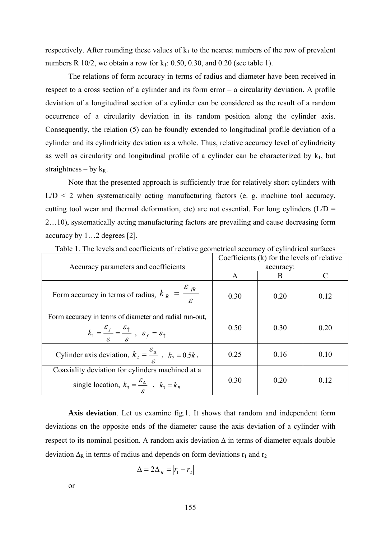respectively. After rounding these values of  $k_1$  to the nearest numbers of the row of prevalent numbers R 10/2, we obtain a row for  $k_1$ : 0.50, 0.30, and 0.20 (see table 1).

The relations of form accuracy in terms of radius and diameter have been received in respect to a cross section of a cylinder and its form error – a circularity deviation. A profile deviation of a longitudinal section of a cylinder can be considered as the result of a random occurrence of a circularity deviation in its random position along the cylinder axis. Consequently, the relation (5) can be foundly extended to longitudinal profile deviation of a cylinder and its cylindricity deviation as a whole. Thus, relative accuracy level of cylindricity as well as circularity and longitudinal profile of a cylinder can be characterized by  $k_1$ , but straightness – by  $k_R$ .

Note that the presented approach is sufficiently true for relatively short cylinders with  $L/D < 2$  when systematically acting manufacturing factors (e. g. machine tool accuracy, cutting tool wear and thermal deformation, etc) are not essential. For long cylinders  $(L/D =$ 2…10), systematically acting manufacturing factors are prevailing and cause decreasing form accuracy by 1…2 degrees [2].

| Accuracy parameters and coefficients                                                                                                                                                        | Coefficients $(k)$ for the levels of relative |      |      |
|---------------------------------------------------------------------------------------------------------------------------------------------------------------------------------------------|-----------------------------------------------|------|------|
|                                                                                                                                                                                             | accuracy:                                     |      |      |
|                                                                                                                                                                                             | A                                             | B    |      |
| Form accuracy in terms of radius, $k_R = \frac{\varepsilon_{fR}}{2}$                                                                                                                        | 0.30                                          | 0.20 | 0.12 |
| Form accuracy in terms of diameter and radial run-out,<br>$k_1 = \frac{\varepsilon_f}{\varepsilon} = \frac{\varepsilon_{\uparrow}}{\varepsilon}$ , $\varepsilon_f = \varepsilon_{\uparrow}$ | 0.50                                          | 0.30 | 0.20 |
| Cylinder axis deviation, $k_2 = \frac{\varepsilon_{\Delta}}{\varepsilon}$ , $k_2 = 0.5k$ ,                                                                                                  | 0.25                                          | 0.16 | 0.10 |
| Coaxiality deviation for cylinders machined at a<br>single location, $k_3 = \frac{\varepsilon_{\Delta}}{s}$ , $k_3 = k_R$                                                                   | 0.30                                          | 0.20 | 0.12 |

Table 1. The levels and coefficients of relative geometrical accuracy of cylindrical surfaces

**Axis deviation**. Let us examine fig.1. It shows that random and independent form deviations on the opposite ends of the diameter cause the axis deviation of a cylinder with respect to its nominal position. A random axis deviation  $\Delta$  in terms of diameter equals double deviation  $\Delta_R$  in terms of radius and depends on form deviations  $r_1$  and  $r_2$ 

$$
\Delta = 2\Delta_R = |r_1 - r_2|
$$

or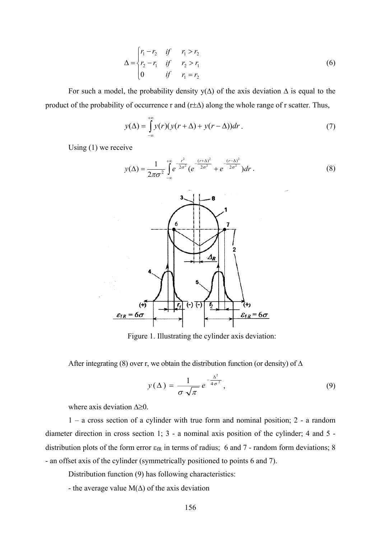$$
\Delta = \begin{cases} r_1 - r_2 & \text{if } r_1 > r_2 \\ r_2 - r_1 & \text{if } r_2 > r_1 \\ 0 & \text{if } r_1 = r_2 \end{cases}
$$
 (6)

For such a model, the probability density  $y(\Delta)$  of the axis deviation  $\Delta$  is equal to the product of the probability of occurrence r and  $(r\pm\Delta)$  along the whole range of r scatter. Thus,

$$
y(\Delta) = \int_{-\infty}^{+\infty} y(r)(y(r+\Delta) + y(r-\Delta))dr.
$$
 (7)

Using (1) we receive

$$
y(\Delta) = \frac{1}{2\pi\sigma^2} \int_{-\infty}^{+\infty} e^{-\frac{r^2}{2\sigma^2}} (e^{-\frac{(r+\Delta)^2}{2\sigma^2}} + e^{-\frac{(r-\Delta)^2}{2\sigma^2}}) dr.
$$
 (8)



Figure 1. Illustrating the cylinder axis deviation:

After integrating (8) over r, we obtain the distribution function (or density) of  $\Delta$ 

$$
y(\Delta) = \frac{1}{\sigma \sqrt{\pi}} e^{-\frac{\Delta^2}{4\sigma^2}}, \qquad (9)
$$

where axis deviation  $\Delta \geq 0$ .

1 – a cross section of a cylinder with true form and nominal position; 2 - a random diameter direction in cross section 1; 3 - a nominal axis position of the cylinder; 4 and 5 distribution plots of the form error  $\varepsilon_{fR}$  in terms of radius; 6 and 7 - random form deviations; 8 - an offset axis of the cylinder (symmetrically positioned to points 6 and 7).

Distribution function (9) has following characteristics:

- the average value  $M(\Delta)$  of the axis deviation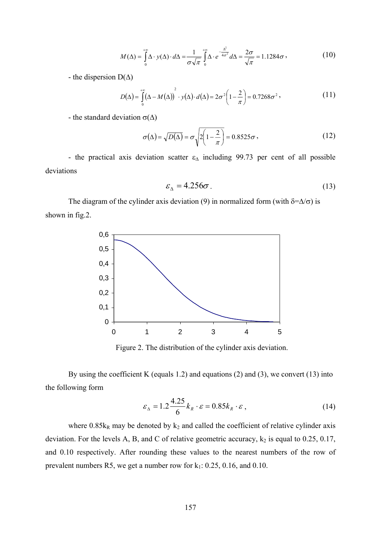$$
M(\Delta) = \int_{0}^{+\infty} \Delta \cdot y(\Delta) \cdot d\Delta = \frac{1}{\sigma \sqrt{\pi}} \int_{0}^{+\infty} \Delta \cdot e^{-\frac{\Delta^2}{4\sigma^2}} d\Delta = \frac{2\sigma}{\sqrt{\pi}} = 1.1284 \sigma,
$$
 (10)

- the dispersion  $D(\Delta)$ 

$$
D(\Delta) = \int_{0}^{+\infty} (\Delta - M(\Delta))^{2} \cdot y(\Delta) \cdot d(\Delta) = 2\sigma^{2} \left(1 - \frac{2}{\pi}\right) = 0.7268 \sigma^{2},
$$
 (11)

- the standard deviation  $\sigma(\Delta)$ 

$$
\sigma(\Delta) = \sqrt{D(\Delta)} = \sigma \sqrt{2\left(1 - \frac{2}{\pi}\right)} = 0.8525\sigma,
$$
\n(12)

- the practical axis deviation scatter  $\varepsilon_{\Delta}$  including 99.73 per cent of all possible deviations

$$
\varepsilon_{\Lambda} = 4.256\sigma \tag{13}
$$

The diagram of the cylinder axis deviation (9) in normalized form (with  $\delta = \Delta/\sigma$ ) is shown in fig.2.



Figure 2. The distribution of the cylinder axis deviation.

By using the coefficient K (equals 1.2) and equations (2) and (3), we convert (13) into the following form

$$
\varepsilon_{\Delta} = 1.2 \frac{4.25}{6} k_R \cdot \varepsilon = 0.85 k_R \cdot \varepsilon , \qquad (14)
$$

where  $0.85k_R$  may be denoted by  $k_2$  and called the coefficient of relative cylinder axis deviation. For the levels A, B, and C of relative geometric accuracy,  $k_2$  is equal to 0.25, 0.17, and 0.10 respectively. After rounding these values to the nearest numbers of the row of prevalent numbers R5, we get a number row for  $k_1$ : 0.25, 0.16, and 0.10.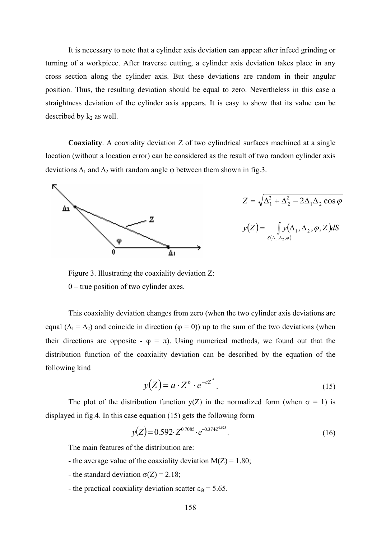It is necessary to note that a cylinder axis deviation can appear after infeed grinding or turning of a workpiece. After traverse cutting, a cylinder axis deviation takes place in any cross section along the cylinder axis. But these deviations are random in their angular position. Thus, the resulting deviation should be equal to zero. Nevertheless in this case a straightness deviation of the cylinder axis appears. It is easy to show that its value can be described by  $k_2$  as well.

**Coaxiality**. A coaxiality deviation Z of two cylindrical surfaces machined at a single location (without a location error) can be considered as the result of two random cylinder axis deviations  $\Delta_1$  and  $\Delta_2$  with random angle  $\varphi$  between them shown in fig.3.



$$
Z = \sqrt{\Delta_1^2 + \Delta_2^2 - 2\Delta_1\Delta_2 \cos\varphi}
$$

$$
y(Z) = \int_{S(\Delta_1, \Delta_2, \varphi)} y(\Delta_1, \Delta_2, \varphi, Z) dS
$$

Figure 3. Illustrating the coaxiality deviation Z: 0 – true position of two cylinder axes.

This coaxiality deviation changes from zero (when the two cylinder axis deviations are equal ( $\Delta_1 = \Delta_2$ ) and coincide in direction ( $\varphi = 0$ )) up to the sum of the two deviations (when their directions are opposite -  $\varphi = \pi$ ). Using numerical methods, we found out that the distribution function of the coaxiality deviation can be described by the equation of the following kind

$$
y(Z) = a \cdot Z^b \cdot e^{-cZ^d} \tag{15}
$$

The plot of the distribution function  $y(Z)$  in the normalized form (when  $\sigma = 1$ ) is displayed in fig.4. In this case equation (15) gets the following form

$$
y(Z) = 0.592 \cdot Z^{0.7085} \cdot e^{-0.374 Z^{1623}}.
$$
\n(16)

The main features of the distribution are:

- the average value of the coaxiality deviation  $M(Z) = 1.80$ ;
- the standard deviation  $\sigma(Z) = 2.18$ ;
- the practical coaxiality deviation scatter  $\varepsilon_{\Theta} = 5.65$ .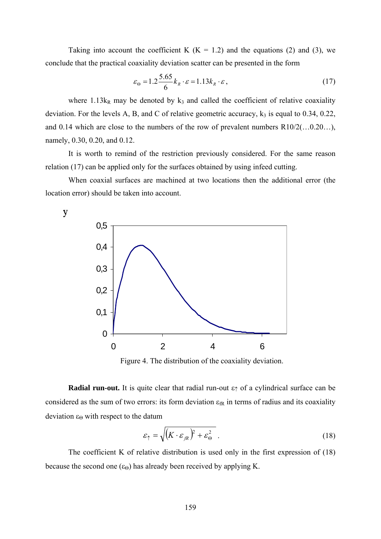Taking into account the coefficient K ( $K = 1.2$ ) and the equations (2) and (3), we conclude that the practical coaxiality deviation scatter can be presented in the form

$$
\varepsilon_{\Theta} = 1.2 \frac{5.65}{6} k_R \cdot \varepsilon = 1.13 k_R \cdot \varepsilon , \qquad (17)
$$

where  $1.13k_R$  may be denoted by  $k_3$  and called the coefficient of relative coaxiality deviation. For the levels A, B, and C of relative geometric accuracy,  $k_3$  is equal to 0.34, 0.22, and 0.14 which are close to the numbers of the row of prevalent numbers R10/2(…0.20…), namely, 0.30, 0.20, and 0.12.

It is worth to remind of the restriction previously considered. For the same reason relation (17) can be applied only for the surfaces obtained by using infeed cutting.

When coaxial surfaces are machined at two locations then the additional error (the location error) should be taken into account.

у



Figure 4. The distribution of the coaxiality deviation.

**Radial run-out.** It is quite clear that radial run-out  $\varepsilon \uparrow$  of a cylindrical surface can be considered as the sum of two errors: its form deviation  $\varepsilon_{\text{fR}}$  in terms of radius and its coaxiality deviation  $ε_Θ$  with respect to the datum

$$
\varepsilon_{\uparrow} = \sqrt{\left(K \cdot \varepsilon_{\text{fR}}\right)^2 + \varepsilon_{\Theta}^2} \tag{18}
$$

The coefficient K of relative distribution is used only in the first expression of (18) because the second one  $(\epsilon_{\Theta})$  has already been received by applying K.